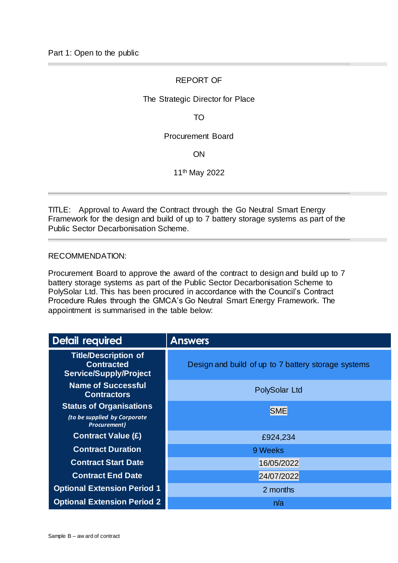# REPORT OF

### The Strategic Director for Place

TO

### Procurement Board

ON

11th May 2022

TITLE: Approval to Award the Contract through the Go Neutral Smart Energy Framework for the design and build of up to 7 battery storage systems as part of the Public Sector Decarbonisation Scheme.

#### RECOMMENDATION:

Procurement Board to approve the award of the contract to design and build up to 7 battery storage systems as part of the Public Sector Decarbonisation Scheme to PolySolar Ltd. This has been procured in accordance with the Council's Contract Procedure Rules through the GMCA's Go Neutral Smart Energy Framework. The appointment is summarised in the table below:

| <b>Detail required</b>                                                            | <b>Answers</b>                                      |  |  |  |  |
|-----------------------------------------------------------------------------------|-----------------------------------------------------|--|--|--|--|
| <b>Title/Description of</b><br><b>Contracted</b><br><b>Service/Supply/Project</b> | Design and build of up to 7 battery storage systems |  |  |  |  |
| <b>Name of Successful</b><br><b>Contractors</b>                                   | PolySolar Ltd                                       |  |  |  |  |
| <b>Status of Organisations</b>                                                    | <b>SME</b>                                          |  |  |  |  |
| (to be supplied by Corporate<br><b>Procurement)</b>                               |                                                     |  |  |  |  |
| <b>Contract Value (£)</b>                                                         | £924,234                                            |  |  |  |  |
| <b>Contract Duration</b>                                                          | 9 Weeks                                             |  |  |  |  |
| <b>Contract Start Date</b>                                                        | 16/05/2022                                          |  |  |  |  |
| <b>Contract End Date</b>                                                          | 24/07/2022                                          |  |  |  |  |
| <b>Optional Extension Period 1</b>                                                | 2 months                                            |  |  |  |  |
| <b>Optional Extension Period 2</b>                                                | n/a                                                 |  |  |  |  |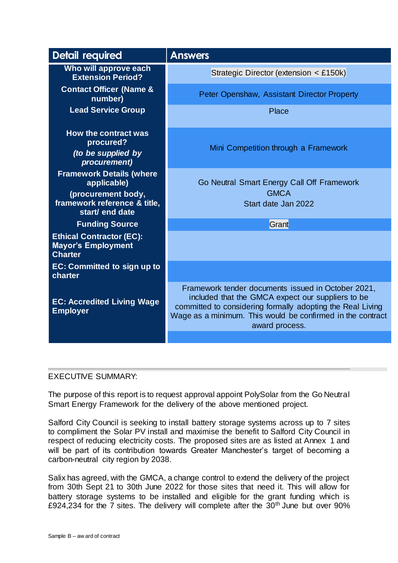| <b>Detail required</b>                                                                                                  | <b>Answers</b>                                                                                                                                                                                                                                        |  |  |  |  |
|-------------------------------------------------------------------------------------------------------------------------|-------------------------------------------------------------------------------------------------------------------------------------------------------------------------------------------------------------------------------------------------------|--|--|--|--|
| Who will approve each<br><b>Extension Period?</b>                                                                       | Strategic Director (extension < £150k)                                                                                                                                                                                                                |  |  |  |  |
| <b>Contact Officer (Name &amp;</b><br>number)                                                                           | Peter Openshaw, Assistant Director Property                                                                                                                                                                                                           |  |  |  |  |
| <b>Lead Service Group</b>                                                                                               | Place                                                                                                                                                                                                                                                 |  |  |  |  |
| How the contract was<br>procured?<br><i>(to be supplied by</i><br>procurement)                                          | Mini Competition through a Framework                                                                                                                                                                                                                  |  |  |  |  |
| <b>Framework Details (where</b><br>applicable)<br>(procurement body,<br>framework reference & title.<br>start/ end date | Go Neutral Smart Energy Call Off Framework<br><b>GMCA</b><br>Start date Jan 2022                                                                                                                                                                      |  |  |  |  |
| <b>Funding Source</b>                                                                                                   | Grant                                                                                                                                                                                                                                                 |  |  |  |  |
| <b>Ethical Contractor (EC):</b><br><b>Mayor's Employment</b><br><b>Charter</b>                                          |                                                                                                                                                                                                                                                       |  |  |  |  |
| EC: Committed to sign up to<br>charter                                                                                  |                                                                                                                                                                                                                                                       |  |  |  |  |
| <b>EC: Accredited Living Wage</b><br><b>Employer</b>                                                                    | Framework tender documents issued in October 2021,<br>included that the GMCA expect our suppliers to be<br>committed to considering formally adopting the Real Living<br>Wage as a minimum. This would be confirmed in the contract<br>award process. |  |  |  |  |

# EXECUTIVE SUMMARY:

The purpose of this report is to request approval appoint PolySolar from the Go Neutral Smart Energy Framework for the delivery of the above mentioned project.

Salford City Council is seeking to install battery storage systems across up to 7 sites to compliment the Solar PV install and maximise the benefit to Salford City Council in respect of reducing electricity costs. The proposed sites are as listed at Annex 1 and will be part of its contribution towards Greater Manchester's target of becoming a carbon-neutral city region by 2038.

Salix has agreed, with the GMCA, a change control to extend the delivery of the project from 30th Sept 21 to 30th June 2022 for those sites that need it. This will allow for battery storage systems to be installed and eligible for the grant funding which is £924,234 for the 7 sites. The delivery will complete after the  $30<sup>th</sup>$  June but over 90%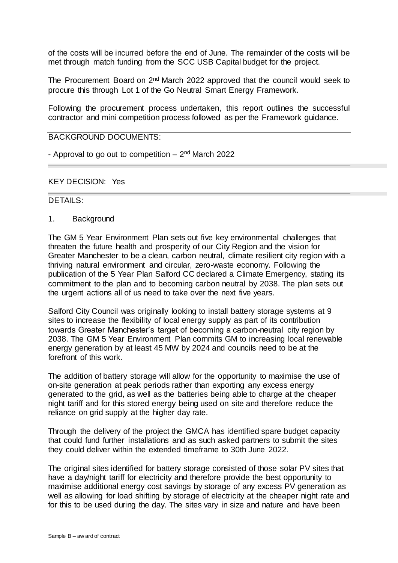of the costs will be incurred before the end of June. The remainder of the costs will be met through match funding from the SCC USB Capital budget for the project.

The Procurement Board on 2<sup>nd</sup> March 2022 approved that the council would seek to procure this through Lot 1 of the Go Neutral Smart Energy Framework.

Following the procurement process undertaken, this report outlines the successful contractor and mini competition process followed as per the Framework guidance.

# BACKGROUND DOCUMENTS:

- Approval to go out to competition – 2<sup>nd</sup> March 2022

#### KEY DECISION: Yes

#### DETAILS:

1. Background

The GM 5 Year Environment Plan sets out five key environmental challenges that threaten the future health and prosperity of our City Region and the vision for Greater Manchester to be a clean, carbon neutral, climate resilient city region with a thriving natural environment and circular, zero-waste economy. Following the publication of the 5 Year Plan Salford CC declared a Climate Emergency, stating its commitment to the plan and to becoming carbon neutral by 2038. The plan sets out the urgent actions all of us need to take over the next five years.

Salford City Council was originally looking to install battery storage systems at 9 sites to increase the flexibility of local energy supply as part of its contribution towards Greater Manchester's target of becoming a carbon-neutral city region by 2038. The GM 5 Year Environment Plan commits GM to increasing local renewable energy generation by at least 45 MW by 2024 and councils need to be at the forefront of this work.

The addition of battery storage will allow for the opportunity to maximise the use of on-site generation at peak periods rather than exporting any excess energy generated to the grid, as well as the batteries being able to charge at the cheaper night tariff and for this stored energy being used on site and therefore reduce the reliance on grid supply at the higher day rate.

Through the delivery of the project the GMCA has identified spare budget capacity that could fund further installations and as such asked partners to submit the sites they could deliver within the extended timeframe to 30th June 2022.

The original sites identified for battery storage consisted of those solar PV sites that have a day/night tariff for electricity and therefore provide the best opportunity to maximise additional energy cost savings by storage of any excess PV generation as well as allowing for load shifting by storage of electricity at the cheaper night rate and for this to be used during the day. The sites vary in size and nature and have been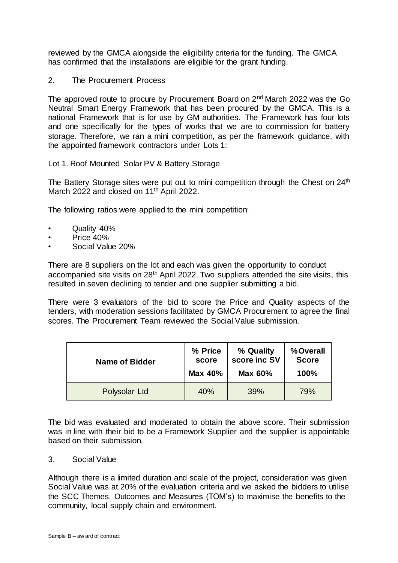reviewed by the GMCA alongside the eligibility criteria for the funding. The GMCA has confirmed that the installations are eligible for the grant funding.

2. The Procurement Process

The approved route to procure by Procurement Board on 2nd March 2022 was the Go Neutral Smart Energy Framework that has been procured by the GMCA. This is a national Framework that is for use by GM authorities. The Framework has four lots and one specifically for the types of works that we are to commission for battery storage. Therefore, we ran a mini competition, as per the framework guidance, with the appointed framework contractors under Lots 1:

Lot 1. Roof Mounted Solar PV & Battery Storage

The Battery Storage sites were put out to mini competition through the Chest on 24<sup>th</sup> March 2022 and closed on 11<sup>th</sup> April 2022.

The following ratios were applied to the mini competition:

- Quality 40%
- Price 40%
- Social Value 20%

There are 8 suppliers on the lot and each was given the opportunity to conduct accompanied site visits on 28<sup>th</sup> April 2022. Two suppliers attended the site visits, this resulted in seven declining to tender and one supplier submitting a bid.

There were 3 evaluators of the bid to score the Price and Quality aspects of the tenders, with moderation sessions facilitated by GMCA Procurement to agree the final scores. The Procurement Team reviewed the Social Value submission.

| <b>Name of Bidder</b> | % Price | % Quality      | %Overall     |
|-----------------------|---------|----------------|--------------|
|                       | score   | score inc SV   | <b>Score</b> |
|                       | Max 40% | <b>Max 60%</b> | 100%         |
| Polysolar Ltd         | 40%     | 39%            | 79%          |

The bid was evaluated and moderated to obtain the above score. Their submission was in line with their bid to be a Framework Supplier and the supplier is appointable based on their submission.

# 3. Social Value

Although there is a limited duration and scale of the project, consideration was given Social Value was at 20% of the evaluation criteria and we asked the bidders to utilise the SCC Themes, Outcomes and Measures (TOM's) to maximise the benefits to the community, local supply chain and environment.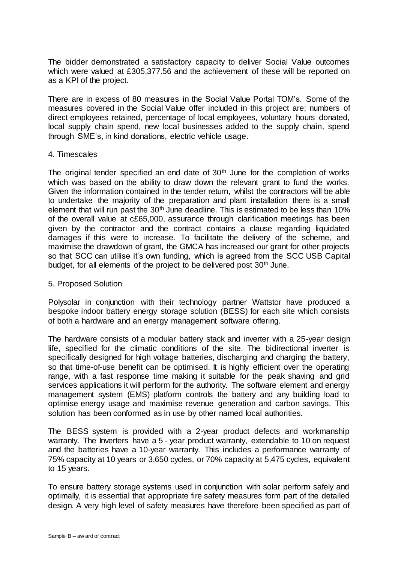The bidder demonstrated a satisfactory capacity to deliver Social Value outcomes which were valued at £305,377.56 and the achievement of these will be reported on as a KPI of the project.

There are in excess of 80 measures in the Social Value Portal TOM's. Some of the measures covered in the Social Value offer included in this project are; numbers of direct employees retained, percentage of local employees, voluntary hours donated, local supply chain spend, new local businesses added to the supply chain, spend through SME's, in kind donations, electric vehicle usage.

#### 4. Timescales

The original tender specified an end date of  $30<sup>th</sup>$  June for the completion of works which was based on the ability to draw down the relevant grant to fund the works. Given the information contained in the tender return, whilst the contractors will be able to undertake the majority of the preparation and plant installation there is a small element that will run past the  $30<sup>th</sup>$  June deadline. This is estimated to be less than 10% of the overall value at c£65,000, assurance through clarification meetings has been given by the contractor and the contract contains a clause regarding liquidated damages if this were to increase. To facilitate the delivery of the scheme, and maximise the drawdown of grant, the GMCA has increased our grant for other projects so that SCC can utilise it's own funding, which is agreed from the SCC USB Capital budget, for all elements of the project to be delivered post  $30<sup>th</sup>$  June.

#### 5. Proposed Solution

Polysolar in conjunction with their technology partner Wattstor have produced a bespoke indoor battery energy storage solution (BESS) for each site which consists of both a hardware and an energy management software offering.

The hardware consists of a modular battery stack and inverter with a 25-year design life, specified for the climatic conditions of the site. The bidirectional inverter is specifically designed for high voltage batteries, discharging and charging the battery, so that time-of-use benefit can be optimised. It is highly efficient over the operating range, with a fast response time making it suitable for the peak shaving and grid services applications it will perform for the authority. The software element and energy management system (EMS) platform controls the battery and any building load to optimise energy usage and maximise revenue generation and carbon savings. This solution has been conformed as in use by other named local authorities.

The BESS system is provided with a 2-year product defects and workmanship warranty. The Inverters have a 5 - year product warranty, extendable to 10 on request and the batteries have a 10-year warranty. This includes a performance warranty of 75% capacity at 10 years or 3,650 cycles, or 70% capacity at 5,475 cycles, equivalent to 15 years.

To ensure battery storage systems used in conjunction with solar perform safely and optimally, it is essential that appropriate fire safety measures form part of the detailed design. A very high level of safety measures have therefore been specified as part of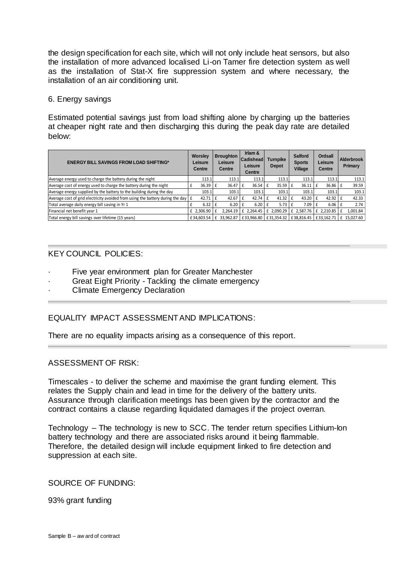the design specification for each site, which will not only include heat sensors, but also the installation of more advanced localised Li-on Tamer fire detection system as well as the installation of Stat-X fire suppression system and where necessary, the installation of an air conditioning unit.

# 6. Energy savings

Estimated potential savings just from load shifting alone by charging up the batteries at cheaper night rate and then discharging this during the peak day rate are detailed below:

| <b>ENERGY BILL SAVINGS FROM LOAD SHIFTING*</b>                                                |                   | <b>Broughton</b><br>Leisure<br><b>Centre</b> | Irlam &<br>Cadishead<br>Leisure<br>Centre | Turnpike<br>Depot         | <b>Salford</b><br><b>Sports</b><br>Village | <b>Ordsall</b><br>Leisure<br><b>Centre</b> | <b>Alderbrook</b><br>Primary |
|-----------------------------------------------------------------------------------------------|-------------------|----------------------------------------------|-------------------------------------------|---------------------------|--------------------------------------------|--------------------------------------------|------------------------------|
| Average energy used to charge the battery during the night                                    | 113.1             | 113.1                                        | 113.1                                     | 113.1                     | 113.1                                      | 113.1                                      | 113.1                        |
| Average cost of energy used to charge the battery during the night                            | $36.39$ $E$       | 36.47                                        | $36.54 \text{ }$ f                        | 35.59                     | 36.11<br>Ι£                                | 36.86                                      | 39.59                        |
| Average energy supplied by the battery to the building during the day                         | 103.1             | 103.1                                        | 103.1                                     | 103.1                     | 103.1                                      | 103.1                                      | 103.1                        |
| Average cost of grid electricity avoided from using the battery during the day $\mathbf{f}$ f | $42.71$ $E$       | 42.67                                        | $42.74$ $E$                               | 41.32                     | $43.20 \text{ }$ f<br>Ιf                   | 42.92                                      | 42.33                        |
| Total average daily energy bill saving in Yr 1                                                | $6.32 \text{ }$ £ | 6.20                                         | $6.20$ f                                  | 5.73                      | 7.09                                       | 6.06                                       | 2.74                         |
| Financial net benefit year 1                                                                  | $£$ 2.306.90 $E$  | 2.264.19                                     |                                           | $£$ 2.264.45 $E$ 2.090.29 | £ 2.587.76                                 | £ 2.210.85                                 | 1,001.84                     |
| Total energy bill savings over lifetime (15 years)                                            | £34.603.54        |                                              | 33,962.87   £33,966.80   £31,354.32       |                           | £38.816.45                                 | £33.162.71                                 | 15.027.60<br>£               |

# KEY COUNCIL POLICIES:

- Five year environment plan for Greater Manchester
- Great Eight Priority Tackling the climate emergency
- Climate Emergency Declaration

# EQUALITY IMPACT ASSESSMENT AND IMPLICATIONS:

There are no equality impacts arising as a consequence of this report.

# ASSESSMENT OF RISK:

Timescales - to deliver the scheme and maximise the grant funding element. This relates the Supply chain and lead in time for the delivery of the battery units. Assurance through clarification meetings has been given by the contractor and the contract contains a clause regarding liquidated damages if the project overran.

Technology – The technology is new to SCC. The tender return specifies Lithium-Ion battery technology and there are associated risks around it being flammable. Therefore, the detailed design will include equipment linked to fire detection and suppression at each site.

SOURCE OF FUNDING:

93% grant funding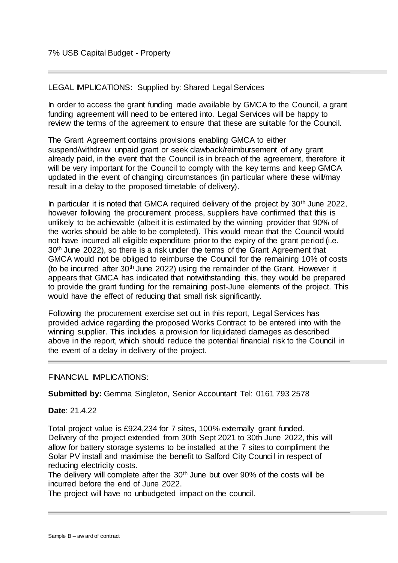### LEGAL IMPLICATIONS: Supplied by: Shared Legal Services

In order to access the grant funding made available by GMCA to the Council, a grant funding agreement will need to be entered into. Legal Services will be happy to review the terms of the agreement to ensure that these are suitable for the Council.

The Grant Agreement contains provisions enabling GMCA to either suspend/withdraw unpaid grant or seek clawback/reimbursement of any grant already paid, in the event that the Council is in breach of the agreement, therefore it will be very important for the Council to comply with the key terms and keep GMCA updated in the event of changing circumstances (in particular where these will/may result in a delay to the proposed timetable of delivery).

In particular it is noted that GMCA required delivery of the project by  $30<sup>th</sup>$  June 2022, however following the procurement process, suppliers have confirmed that this is unlikely to be achievable (albeit it is estimated by the winning provider that 90% of the works should be able to be completed). This would mean that the Council would not have incurred all eligible expenditure prior to the expiry of the grant period (i.e. 30<sup>th</sup> June 2022), so there is a risk under the terms of the Grant Agreement that GMCA would not be obliged to reimburse the Council for the remaining 10% of costs (to be incurred after  $30<sup>th</sup>$  June 2022) using the remainder of the Grant. However it appears that GMCA has indicated that notwithstanding this, they would be prepared to provide the grant funding for the remaining post-June elements of the project. This would have the effect of reducing that small risk significantly.

Following the procurement exercise set out in this report, Legal Services has provided advice regarding the proposed Works Contract to be entered into with the winning supplier. This includes a provision for liquidated damages as described above in the report, which should reduce the potential financial risk to the Council in the event of a delay in delivery of the project.

#### FINANCIAL IMPLICATIONS:

**Submitted by:** Gemma Singleton, Senior Accountant Tel: 0161 793 2578

#### **Date**: 21.4.22

Total project value is £924,234 for 7 sites, 100% externally grant funded. Delivery of the project extended from 30th Sept 2021 to 30th June 2022, this will allow for battery storage systems to be installed at the 7 sites to compliment the Solar PV install and maximise the benefit to Salford City Council in respect of reducing electricity costs.

The delivery will complete after the  $30<sup>th</sup>$  June but over  $90\%$  of the costs will be incurred before the end of June 2022.

The project will have no unbudgeted impact on the council.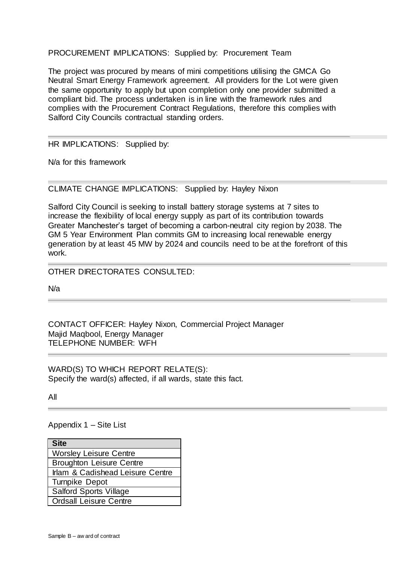PROCUREMENT IMPLICATIONS: Supplied by: Procurement Team

The project was procured by means of mini competitions utilising the GMCA Go Neutral Smart Energy Framework agreement. All providers for the Lot were given the same opportunity to apply but upon completion only one provider submitted a compliant bid. The process undertaken is in line with the framework rules and complies with the Procurement Contract Regulations, therefore this complies with Salford City Councils contractual standing orders.

#### HR IMPLICATIONS: Supplied by:

N/a for this framework

CLIMATE CHANGE IMPLICATIONS: Supplied by: Hayley Nixon

Salford City Council is seeking to install battery storage systems at 7 sites to increase the flexibility of local energy supply as part of its contribution towards Greater Manchester's target of becoming a carbon-neutral city region by 2038. The GM 5 Year Environment Plan commits GM to increasing local renewable energy generation by at least 45 MW by 2024 and councils need to be at the forefront of this work.

OTHER DIRECTORATES CONSULTED:

N/a

CONTACT OFFICER: Hayley Nixon, Commercial Project Manager Majid Maqbool, Energy Manager TELEPHONE NUMBER: WFH

WARD(S) TO WHICH REPORT RELATE(S): Specify the ward(s) affected, if all wards, state this fact.

All

Appendix 1 – Site List

| <b>Site</b>                      |
|----------------------------------|
| <b>Worsley Leisure Centre</b>    |
| <b>Broughton Leisure Centre</b>  |
| Irlam & Cadishead Leisure Centre |
| <b>Turnpike Depot</b>            |
| <b>Salford Sports Village</b>    |
| <b>Ordsall Leisure Centre</b>    |